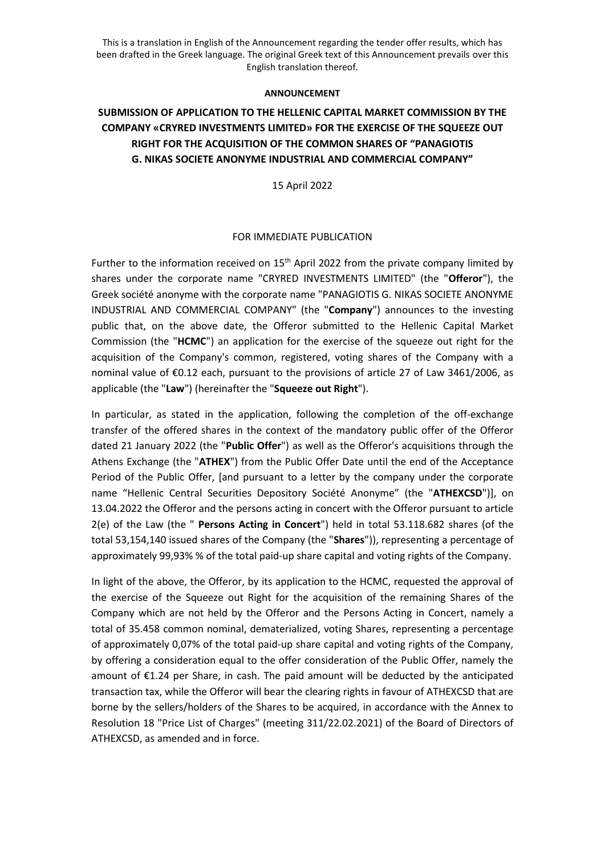This is a translation in English of the Announcement regarding the tender offer results, which has been drafted in the Greek language. The original Greek text of this Announcement prevails over this English translation thereof.

## **ANNOUNCEMENT**

## **SUBMISSION OF APPLICATION TO THE HELLENIC CAPITAL MARKET COMMISSION BY THE COMPANY «CRYRED INVESTMENTS LIMITED» FOR THE EXERCISE OF THE SQUEEZE OUT RIGHT FOR THE ACQUISITION OF THE COMMON SHARES OF "PANAGIOTIS G. NIKAS SOCIETE ANONYME INDUSTRIAL AND COMMERCIAL COMPANY"**

15 April 2022

## FOR IMMEDIATE PUBLICATION

Further to the information received on  $15<sup>th</sup>$  April 2022 from the private company limited by shares under the corporate name "CRYRED INVESTMENTS LIMITED" (the "**Offeror**"), the Greek société anonyme with the corporate name "PANAGIOTIS G. NIKAS SOCIETE ANONYME INDUSTRIAL AND COMMERCIAL COMPANY" (the "**Company**") announces to the investing public that, on the above date, the Offeror submitted to the Hellenic Capital Market Commission (the "**HCMC**") an application for the exercise of the squeeze out right for the acquisition of the Company's common, registered, voting shares of the Company with a nominal value of €0.12 each, pursuant to the provisions of article 27 of Law 3461/2006, as applicable (the "**Law**") (hereinafter the "**Squeeze out Right**").

In particular, as stated in the application, following the completion of the off-exchange transfer of the offered shares in the context of the mandatory public offer of the Offeror dated 21 January 2022 (the "**Public Offer**") as well as the Offeror's acquisitions through the Athens Exchange (the "**ATHEX**") from the Public Offer Date until the end of the Acceptance Period of the Public Offer, [and pursuant to a letter by the company under the corporate name "Hellenic Central Securities Depository Société Anonyme" (the "**ATHEXCSD**")], on 13.04.2022 the Offeror and the persons acting in concert with the Offeror pursuant to article 2(e) of the Law (the " **Persons Acting in Concert**") held in total 53.118.682 shares (of the total 53,154,140 issued shares of the Company (the "**Shares**")), representing a percentage of approximately 99,93% % of the total paid-up share capital and voting rights of the Company.

In light of the above, the Offeror, by its application to the HCMC, requested the approval of the exercise of the Squeeze out Right for the acquisition of the remaining Shares of the Company which are not held by the Offeror and the Persons Acting in Concert, namely a total of 35.458 common nominal, dematerialized, voting Shares, representing a percentage of approximately 0,07% of the total paid-up share capital and voting rights of the Company, by offering a consideration equal to the offer consideration of the Public Offer, namely the amount of €1.24 per Share, in cash. The paid amount will be deducted by the anticipated transaction tax, while the Offeror will bear the clearing rights in favour of ATHEXCSD that are borne by the sellers/holders of the Shares to be acquired, in accordance with the Annex to Resolution 18 "Price List of Charges" (meeting 311/22.02.2021) of the Board of Directors of ATHEXCSD, as amended and in force.